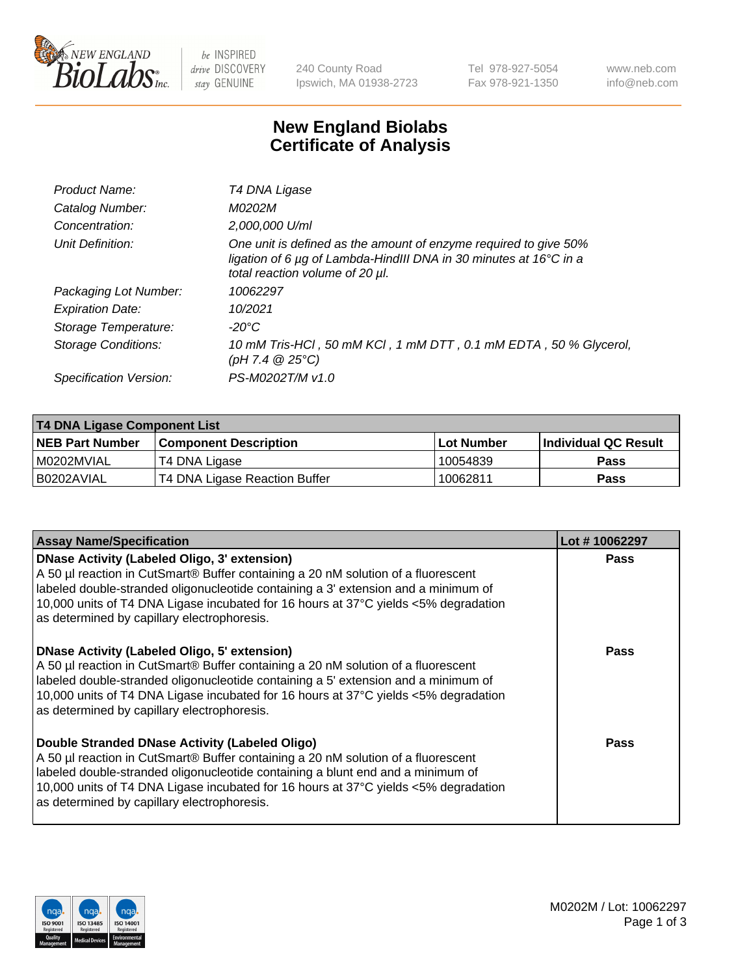

be INSPIRED drive DISCOVERY stay GENUINE

240 County Road Ipswich, MA 01938-2723 Tel 978-927-5054 Fax 978-921-1350 www.neb.com info@neb.com

## **New England Biolabs Certificate of Analysis**

| Product Name:           | T4 DNA Ligase                                                                                                                                                            |
|-------------------------|--------------------------------------------------------------------------------------------------------------------------------------------------------------------------|
| Catalog Number:         | M0202M                                                                                                                                                                   |
| Concentration:          | 2,000,000 U/ml                                                                                                                                                           |
| Unit Definition:        | One unit is defined as the amount of enzyme required to give 50%<br>ligation of 6 µg of Lambda-HindIII DNA in 30 minutes at 16°C in a<br>total reaction volume of 20 µl. |
| Packaging Lot Number:   | 10062297                                                                                                                                                                 |
| <b>Expiration Date:</b> | 10/2021                                                                                                                                                                  |
| Storage Temperature:    | $-20^{\circ}$ C                                                                                                                                                          |
| Storage Conditions:     | 10 mM Tris-HCl, 50 mM KCl, 1 mM DTT, 0.1 mM EDTA, 50 % Glycerol,<br>$(pH 7.4 \ @ 25^{\circ}C)$                                                                           |
| Specification Version:  | PS-M0202T/M v1.0                                                                                                                                                         |

| T4 DNA Ligase Component List |                               |              |                             |  |
|------------------------------|-------------------------------|--------------|-----------------------------|--|
| <b>NEB Part Number</b>       | l Component Description       | l Lot Number | <b>Individual QC Result</b> |  |
| I M0202MVIAL                 | T4 DNA Ligase                 | 10054839     | <b>Pass</b>                 |  |
| I B0202AVIAL                 | T4 DNA Ligase Reaction Buffer | 10062811     | <b>Pass</b>                 |  |

| <b>Assay Name/Specification</b>                                                                                                                                                                                                                                                                                                                               | Lot #10062297 |
|---------------------------------------------------------------------------------------------------------------------------------------------------------------------------------------------------------------------------------------------------------------------------------------------------------------------------------------------------------------|---------------|
| DNase Activity (Labeled Oligo, 3' extension)<br>A 50 µl reaction in CutSmart® Buffer containing a 20 nM solution of a fluorescent<br>labeled double-stranded oligonucleotide containing a 3' extension and a minimum of<br>10,000 units of T4 DNA Ligase incubated for 16 hours at 37°C yields <5% degradation<br>as determined by capillary electrophoresis. | <b>Pass</b>   |
| DNase Activity (Labeled Oligo, 5' extension)<br>A 50 µl reaction in CutSmart® Buffer containing a 20 nM solution of a fluorescent<br>labeled double-stranded oligonucleotide containing a 5' extension and a minimum of<br>10,000 units of T4 DNA Ligase incubated for 16 hours at 37°C yields <5% degradation<br>as determined by capillary electrophoresis. | <b>Pass</b>   |
| Double Stranded DNase Activity (Labeled Oligo)<br>A 50 µl reaction in CutSmart® Buffer containing a 20 nM solution of a fluorescent<br>abeled double-stranded oligonucleotide containing a blunt end and a minimum of<br>10,000 units of T4 DNA Ligase incubated for 16 hours at 37°C yields <5% degradation<br>as determined by capillary electrophoresis.   | Pass          |

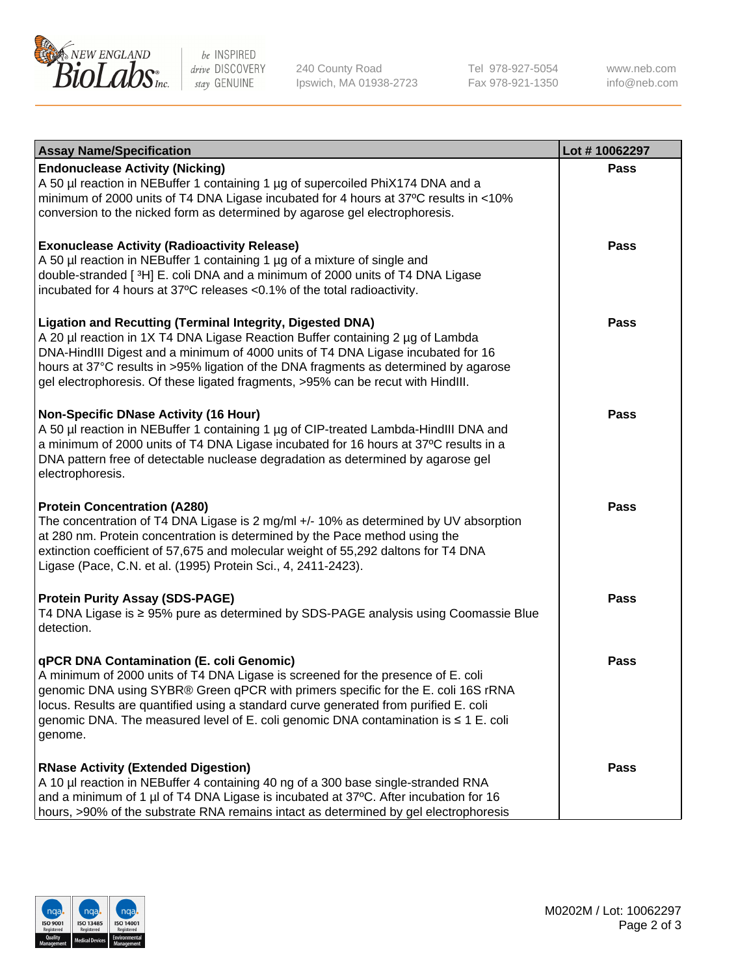

be INSPIRED drive DISCOVERY stay GENUINE

240 County Road Ipswich, MA 01938-2723 Tel 978-927-5054 Fax 978-921-1350 www.neb.com info@neb.com

| <b>Assay Name/Specification</b>                                                                                                                                                                                                                                                                                                                                                                                    | Lot #10062297 |
|--------------------------------------------------------------------------------------------------------------------------------------------------------------------------------------------------------------------------------------------------------------------------------------------------------------------------------------------------------------------------------------------------------------------|---------------|
| <b>Endonuclease Activity (Nicking)</b><br>A 50 µl reaction in NEBuffer 1 containing 1 µg of supercoiled PhiX174 DNA and a<br>minimum of 2000 units of T4 DNA Ligase incubated for 4 hours at 37°C results in <10%<br>conversion to the nicked form as determined by agarose gel electrophoresis.                                                                                                                   | <b>Pass</b>   |
| <b>Exonuclease Activity (Radioactivity Release)</b><br>A 50 µl reaction in NEBuffer 1 containing 1 µg of a mixture of single and<br>double-stranded [3H] E. coli DNA and a minimum of 2000 units of T4 DNA Ligase<br>incubated for 4 hours at 37°C releases <0.1% of the total radioactivity.                                                                                                                      | <b>Pass</b>   |
| <b>Ligation and Recutting (Terminal Integrity, Digested DNA)</b><br>A 20 µl reaction in 1X T4 DNA Ligase Reaction Buffer containing 2 µg of Lambda<br>DNA-HindIII Digest and a minimum of 4000 units of T4 DNA Ligase incubated for 16<br>hours at 37°C results in >95% ligation of the DNA fragments as determined by agarose<br>gel electrophoresis. Of these ligated fragments, >95% can be recut with HindIII. | <b>Pass</b>   |
| <b>Non-Specific DNase Activity (16 Hour)</b><br>A 50 µl reaction in NEBuffer 1 containing 1 µg of CIP-treated Lambda-HindIII DNA and<br>a minimum of 2000 units of T4 DNA Ligase incubated for 16 hours at 37°C results in a<br>DNA pattern free of detectable nuclease degradation as determined by agarose gel<br>electrophoresis.                                                                               | <b>Pass</b>   |
| <b>Protein Concentration (A280)</b><br>The concentration of T4 DNA Ligase is 2 mg/ml +/- 10% as determined by UV absorption<br>at 280 nm. Protein concentration is determined by the Pace method using the<br>extinction coefficient of 57,675 and molecular weight of 55,292 daltons for T4 DNA<br>Ligase (Pace, C.N. et al. (1995) Protein Sci., 4, 2411-2423).                                                  | <b>Pass</b>   |
| <b>Protein Purity Assay (SDS-PAGE)</b><br>T4 DNA Ligase is ≥ 95% pure as determined by SDS-PAGE analysis using Coomassie Blue<br>detection.                                                                                                                                                                                                                                                                        | <b>Pass</b>   |
| qPCR DNA Contamination (E. coli Genomic)<br>A minimum of 2000 units of T4 DNA Ligase is screened for the presence of E. coli<br>genomic DNA using SYBR® Green qPCR with primers specific for the E. coli 16S rRNA<br>locus. Results are quantified using a standard curve generated from purified E. coli<br>genomic DNA. The measured level of E. coli genomic DNA contamination is ≤ 1 E. coli<br>genome.        | Pass          |
| <b>RNase Activity (Extended Digestion)</b><br>A 10 µl reaction in NEBuffer 4 containing 40 ng of a 300 base single-stranded RNA<br>and a minimum of 1 µl of T4 DNA Ligase is incubated at 37°C. After incubation for 16<br>hours, >90% of the substrate RNA remains intact as determined by gel electrophoresis                                                                                                    | Pass          |